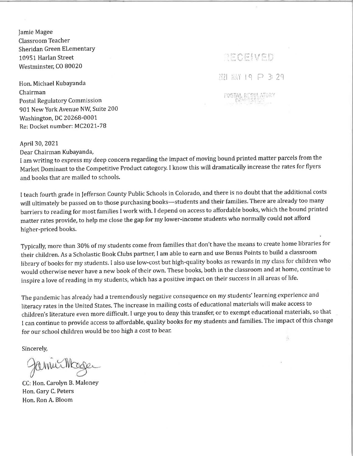Jamie Magee Classroom Teacher Sheridan Green Elementary 10951 Harlan Street Westminster, CO 80020

Hon. Michael KubaYanda Chairman Postal Regulatory Commission 901 New York Avenue NW, Suite 200 Washington, DC 20268-0001 Re: Docket number: MC2021-78

RECEIVED 개개 關性 19 문 3: 29 POSTAL REGULATORY

ô,

## April30, 2021

Dear Chairman Kubayanda,

I am writing to express my deep concern regarding the impact of moving bound printed matter parcels from the Market Dominant to the competitive Product category. I know this will dramatically increase the rates for flyers and books that are mailed to schools.

<sup>I</sup>teach fourth grade in Jefferson County Public Schools in Colorado, and there is no doubt that the additional costs will ultimately be passed on to those purchasing books-students and their families. There are already too many barriers to reading for most families I work with. I depend on access to affordable books, which the bound printed matter rates provide, to help me close the gap for my lower-income students who normally could not afford higher-priced books.

Typically, more than 30% of my students come from families that don't have the means to create home libraries for their children. As a Scholastic Book Clubs partner, I am able to earn and use Bonus Points to build a classroom library of books for my students. I also use low-cost but high-quality books as rewards in my class for children who would otherwise never have a new book of their own. These books, both in the classroom and at home, continue to inspire a love of reading in my students, which has a positive impact on their success in all areas of life.

The pandemic has already had a tremendously negative consequence on my students' learning experience and literacy rates in the United States. The increase in mailing costs of educational materials will make access to children's literature even more difficult. I urge you to deny this transfer, or to exempt educational materials, so that <sup>I</sup>can continue to provide access to affordable, quality books for my students and families. The impact of this change for our school children would be too high a cost to bear.

Sincerely,

amurth

CC: Hon. Carolyn B, MaloneY Hon. Gary C. Peters Hon. Ron A. Bloom